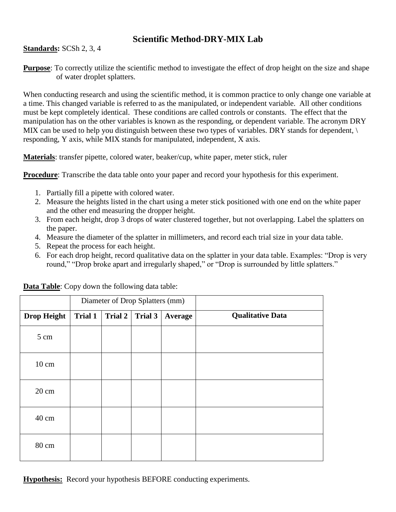## **Scientific Method-DRY-MIX Lab**

**Standards:** SCSh 2, 3, 4

**Purpose**: To correctly utilize the scientific method to investigate the effect of drop height on the size and shape of water droplet splatters.

When conducting research and using the scientific method, it is common practice to only change one variable at a time. This changed variable is referred to as the manipulated, or independent variable. All other conditions must be kept completely identical. These conditions are called controls or constants. The effect that the manipulation has on the other variables is known as the responding, or dependent variable. The acronym DRY MIX can be used to help you distinguish between these two types of variables. DRY stands for dependent,  $\setminus$ responding, Y axis, while MIX stands for manipulated, independent, X axis.

**Materials**: transfer pipette, colored water, beaker/cup, white paper, meter stick, ruler

**Procedure**: Transcribe the data table onto your paper and record your hypothesis for this experiment.

- 1. Partially fill a pipette with colored water.
- 2. Measure the heights listed in the chart using a meter stick positioned with one end on the white paper and the other end measuring the dropper height.
- 3. From each height, drop 3 drops of water clustered together, but not overlapping. Label the splatters on the paper.
- 4. Measure the diameter of the splatter in millimeters, and record each trial size in your data table.
- 5. Repeat the process for each height.
- 6. For each drop height, record qualitative data on the splatter in your data table. Examples: "Drop is very round," "Drop broke apart and irregularly shaped," or "Drop is surrounded by little splatters."

|                    | Diameter of Drop Splatters (mm) |         |         |         |                         |
|--------------------|---------------------------------|---------|---------|---------|-------------------------|
| <b>Drop Height</b> | <b>Trial 1</b>                  | Trial 2 | Trial 3 | Average | <b>Qualitative Data</b> |
| 5 cm               |                                 |         |         |         |                         |
| $10 \text{ cm}$    |                                 |         |         |         |                         |
| 20 cm              |                                 |         |         |         |                         |
| 40 cm              |                                 |         |         |         |                         |
| 80 cm              |                                 |         |         |         |                         |

**Data Table**: Copy down the following data table:

**Hypothesis:** Record your hypothesis BEFORE conducting experiments.